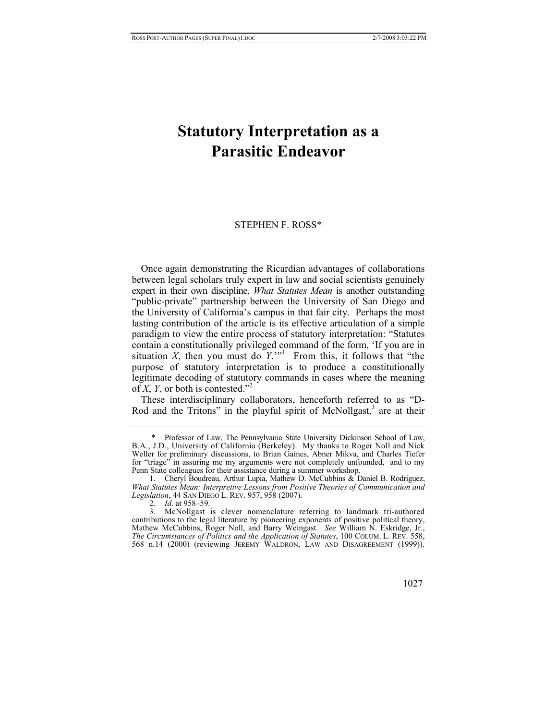## **Statutory Interpretation as a Parasitic Endeavor**

## STEPHEN F. ROSS[\\*](#page-0-0)

Once again demonstrating the Ricardian advantages of collaborations between legal scholars truly expert in law and social scientists genuinely expert in their own discipline, *What Statutes Mean* is another outstanding "public-private" partnership between the University of San Diego and the University of California's campus in that fair city. Perhaps the most lasting contribution of the article is its effective articulation of a simple paradigm to view the entire process of statutory interpretation: "Statutes contain a constitutionally privileged command of the form, 'If you are in situation  $X$ , then you must do  $Y$ .<sup>""</sup> From this, it follows that "the purpose of statutory interpretation is to produce a constitutionally legitimate decoding of statutory commands in cases where the meaning of *X*, *Y*, or both is contested."<sup>2</sup>

These interdisciplinary collaborators, henceforth referred to as "D-Rod and the Tritons" in the playful spirit of McNollgast, $3$  are at their

<span id="page-0-0"></span> <sup>\*</sup> Professor of Law, The Pennsylvania State University Dickinson School of Law, B.A., J.D., University of California (Berkeley). My thanks to Roger Noll and Nick Weller for preliminary discussions, to Brian Gaines, Abner Mikva, and Charles Tiefer for "triage" in assuring me my arguments were not completely unfounded, and to my Penn State colleagues for their assistance during a summer workshop.

<span id="page-0-1"></span> <sup>1.</sup> Cheryl Boudreau, Arthur Lupia, Mathew D. McCubbins & Daniel B. Rodriguez, *What Statutes Mean: Interpretive Lessons from Positive Theories of Communication and Legislation*, 44 SAN DIEGO L. REV. 957, 958 (2007).

<span id="page-0-3"></span><span id="page-0-2"></span><sup>2.</sup> *Id*. at 958–59.

 <sup>3.</sup> McNollgast is clever nomenclature referring to landmark tri-authored contributions to the legal literature by pioneering exponents of positive political theory, Mathew McCubbins, Roger Noll, and Barry Weingast. *See* William N. Eskridge, Jr., *The Circumstances of Politics and the Application of Statutes*, 100 COLUM. L. REV. 558, 568 n.14 (2000) (reviewing JEREMY WALDRON, LAW AND DISAGREEMENT (1999)).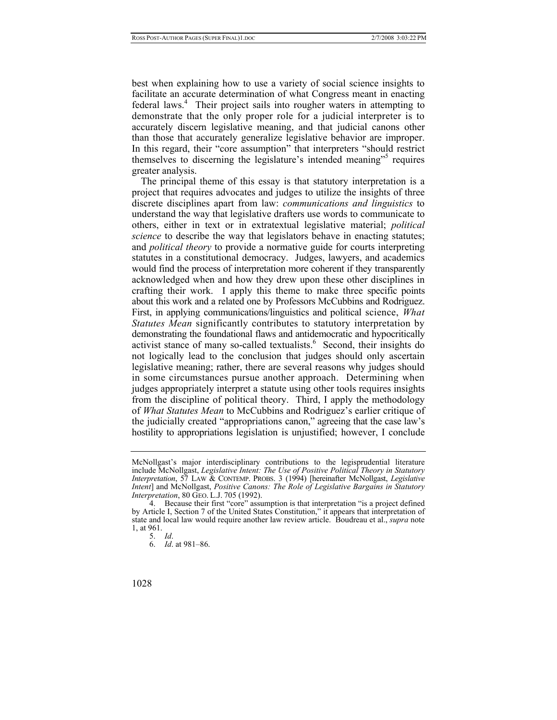best when explaining how to use a variety of social science insights to facilitate an accurate determination of what Congress meant in enacting federal laws.<sup>[4](#page-1-0)</sup> Their project sails into rougher waters in attempting to demonstrate that the only proper role for a judicial interpreter is to accurately discern legislative meaning, and that judicial canons other than those that accurately generalize legislative behavior are improper. In this regard, their "core assumption" that interpreters "should restrict themselves to discerning the legislature's intended meaning"<sup>[5](#page-1-1)</sup> requires greater analysis.

The principal theme of this essay is that statutory interpretation is a project that requires advocates and judges to utilize the insights of three discrete disciplines apart from law: *communications and linguistics* to understand the way that legislative drafters use words to communicate to others, either in text or in extratextual legislative material; *political science* to describe the way that legislators behave in enacting statutes; and *political theory* to provide a normative guide for courts interpreting statutes in a constitutional democracy. Judges, lawyers, and academics would find the process of interpretation more coherent if they transparently acknowledged when and how they drew upon these other disciplines in crafting their work. I apply this theme to make three specific points about this work and a related one by Professors McCubbins and Rodriguez. First, in applying communications/linguistics and political science, *What Statutes Mean* significantly contributes to statutory interpretation by demonstrating the foundational flaws and antidemocratic and hypocritically activist stance of many so-called textualists.<sup>6</sup> Second, their insights do not logically lead to the conclusion that judges should only ascertain legislative meaning; rather, there are several reasons why judges should in some circumstances pursue another approach. Determining when judges appropriately interpret a statute using other tools requires insights from the discipline of political theory. Third, I apply the methodology of *What Statutes Mean* to McCubbins and Rodriguez's earlier critique of the judicially created "appropriations canon," agreeing that the case law's hostility to appropriations legislation is unjustified; however, I conclude

McNollgast's major interdisciplinary contributions to the legisprudential literature include McNollgast, *Legislative Intent: The Use of Positive Political Theory in Statutory Interpretation*, 57 LAW & CONTEMP. PROBS. 3 (1994) [hereinafter McNollgast, *Legislative Intent*] and McNollgast, *Positive Canons: The Role of Legislative Bargains in Statutory Interpretation*, 80 GEO. L.J. 705 (1992).

<span id="page-1-0"></span> <sup>4.</sup> Because their first "core" assumption is that interpretation "is a project defined by Article I, Section 7 of the United States Constitution," it appears that interpretation of state and local law would require another law review article. Boudreau et al., *supra* note 1, at 961.

<span id="page-1-1"></span><sup>5.</sup> *Id*.

<span id="page-1-2"></span><sup>6.</sup> *Id*. at 981–86.

<sup>1028</sup>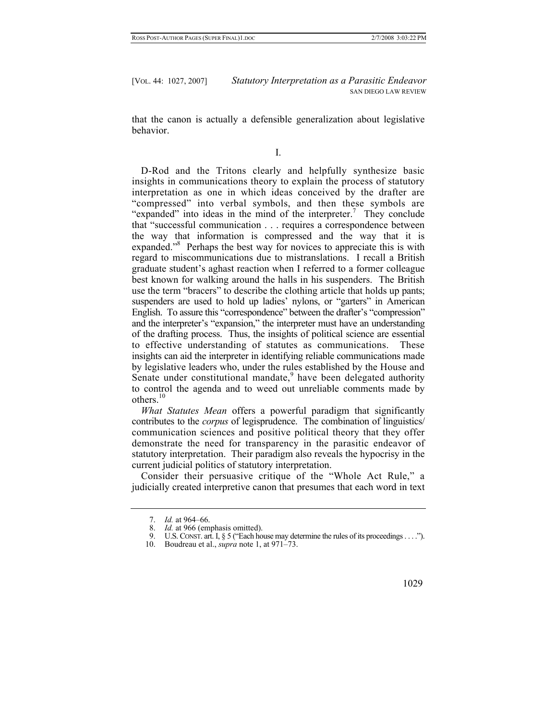that the canon is actually a defensible generalization about legislative behavior.

D-Rod and the Tritons clearly and helpfully synthesize basic insights in communications theory to explain the process of statutory interpretation as one in which ideas conceived by the drafter are "compressed" into verbal symbols, and then these symbols are "expanded"into ideas in the mind of the interpreter.<sup>7</sup> They conclude that "successful communication . . . requires a correspondence between the way that information is compressed and the way that it is expanded."<sup>[8](#page-2-1)</sup> Perhaps the best way for novices to appreciate this is with regard to miscommunications due to mistranslations. I recall a British graduate student's aghast reaction when I referred to a former colleague best known for walking around the halls in his suspenders. The British use the term "bracers" to describe the clothing article that holds up pants; suspenders are used to hold up ladies' nylons, or "garters" in American English. To assure this "correspondence" between the drafter's "compression" and the interpreter's "expansion," the interpreter must have an understanding of the drafting process. Thus, the insights of political science are essential to effective understanding of statutes as communications. These insights can aid the interpreter in identifying reliable communications made by legislative leaders who, under the rules established by the House and Senateunder constitutional mandate,<sup>9</sup> have been delegated authority to control the agenda and to weed out unreliable comments made by others.<sup>[10](#page-2-3)</sup>

*What Statutes Mean* offers a powerful paradigm that significantly contributes to the *corpus* of legisprudence. The combination of linguistics/ communication sciences and positive political theory that they offer demonstrate the need for transparency in the parasitic endeavor of statutory interpretation. Their paradigm also reveals the hypocrisy in the current judicial politics of statutory interpretation.

Consider their persuasive critique of the "Whole Act Rule," a judicially created interpretive canon that presumes that each word in text

<span id="page-2-0"></span><sup>7.</sup> *Id.* at 964–66.

<span id="page-2-1"></span><sup>8.</sup> *Id.* at 966 (emphasis omitted).

<span id="page-2-2"></span> <sup>9.</sup> U.S. CONST. art. I, § 5 ("Each house may determine the rules of its proceedings . . . .").

<span id="page-2-3"></span> <sup>10.</sup> Boudreau et al., *supra* note 1, at 971–73.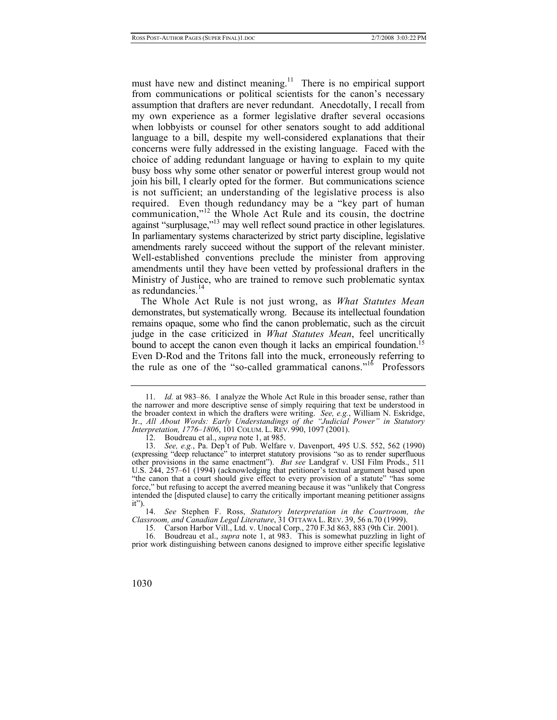must have new and distinct meaning.<sup>11</sup> There is no empirical support from communications or political scientists for the canon's necessary assumption that drafters are never redundant. Anecdotally, I recall from my own experience as a former legislative drafter several occasions when lobbyists or counsel for other senators sought to add additional language to a bill, despite my well-considered explanations that their concerns were fully addressed in the existing language. Faced with the choice of adding redundant language or having to explain to my quite busy boss why some other senator or powerful interest group would not join his bill, I clearly opted for the former. But communications science is not sufficient; an understanding of the legislative process is also required. Even though redundancy may be a "key part of human communication,"<sup>12</sup> the Whole Act Rule and its cousin, the doctrine against "surplusage,"[13](#page-3-2) may well reflect sound practice in other legislatures. In parliamentary systems characterized by strict party discipline, legislative amendments rarely succeed without the support of the relevant minister. Well-established conventions preclude the minister from approving amendments until they have been vetted by professional drafters in the Ministry of Justice, who are trained to remove such problematic syntax as redundancies. $^{14}$  $^{14}$  $^{14}$ 

The Whole Act Rule is not just wrong, as *What Statutes Mean* demonstrates, but systematically wrong. Because its intellectual foundation remains opaque, some who find the canon problematic, such as the circuit judge in the case criticized in *What Statutes Mean*, feel uncritically bound to accept the canon even though it lacks an empirical foundation.<sup>15</sup> Even D-Rod and the Tritons fall into the muck, erroneously referring to the rule as one of the "so-called grammatical canons."[16](#page-3-5) Professors

<span id="page-3-3"></span>14. *See* Stephen F. Ross, *Statutory Interpretation in the Courtroom, the Classroom, and Canadian Legal Literature*, 31 OTTAWA L. REV. 39, 56 n.70 (1999).

<span id="page-3-5"></span><span id="page-3-4"></span>15. Carson Harbor Vill., Ltd. v. Unocal Corp., 270 F.3d 863, 883 (9th Cir. 2001).

 16. Boudreau et al., *supra* note 1, at 983. This is somewhat puzzling in light of prior work distinguishing between canons designed to improve either specific legislative

<span id="page-3-0"></span><sup>11.</sup> *Id.* at 983–86. I analyze the Whole Act Rule in this broader sense, rather than the narrower and more descriptive sense of simply requiring that text be understood in the broader context in which the drafters were writing. *See, e.g.*, William N. Eskridge, Jr., *All About Words: Early Understandings of the "Judicial Power" in Statutory Interpretation, 1776–1806*, 101 COLUM. L. REV. 990, 1097 (2001).

<span id="page-3-2"></span><span id="page-3-1"></span> <sup>12.</sup> Boudreau et al., *supra* note 1, at 985.

<sup>13.</sup> *See, e.g.*, Pa. Dep't of Pub. Welfare v. Davenport, 495 U.S. 552, 562 (1990) (expressing "deep reluctance" to interpret statutory provisions "so as to render superfluous other provisions in the same enactment"). *But see* Landgraf v. USI Film Prods., 511 U.S. 244, 257–61 (1994) (acknowledging that petitioner's textual argument based upon "the canon that a court should give effect to every provision of a statute" "has some force," but refusing to accept the averred meaning because it was "unlikely that Congress intended the [disputed clause] to carry the critically important meaning petitioner assigns it").

<sup>1030</sup>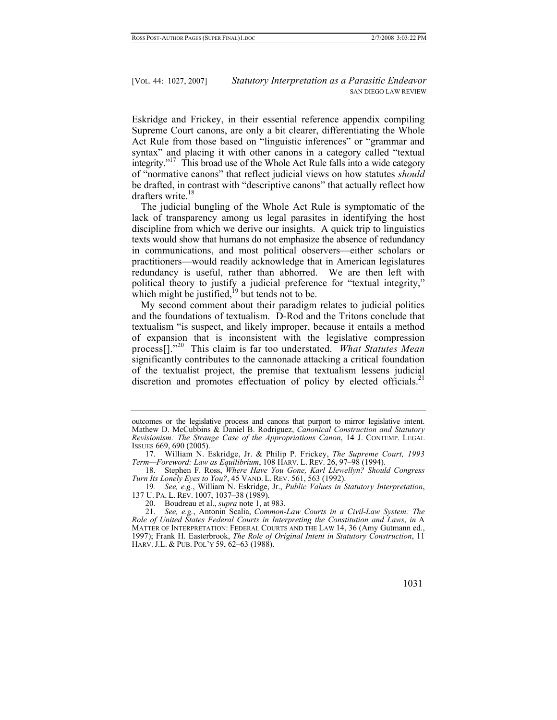Eskridge and Frickey, in their essential reference appendix compiling Supreme Court canons, are only a bit clearer, differentiating the Whole Act Rule from those based on "linguistic inferences" or "grammar and syntax" and placing it with other canons in a category called "textual integrity."<sup>17</sup> This broad use of the Whole Act Rule falls into a wide category of "normative canons" that reflect judicial views on how statutes *should*  be drafted, in contrast with "descriptive canons" that actually reflect how drafters write. $18$ 

The judicial bungling of the Whole Act Rule is symptomatic of the lack of transparency among us legal parasites in identifying the host discipline from which we derive our insights. A quick trip to linguistics texts would show that humans do not emphasize the absence of redundancy in communications, and most political observers—either scholars or practitioners—would readily acknowledge that in American legislatures redundancy is useful, rather than abhorred. We are then left with political theory to justify a judicial preference for "textual integrity," which might be justified, $19$  but tends not to be.

My second comment about their paradigm relates to judicial politics and the foundations of textualism. D-Rod and the Tritons conclude that textualism "is suspect, and likely improper, because it entails a method of expansion that is inconsistent with the legislative compression process[]."[20](#page-4-3) This claim is far too understated. *What Statutes Mean* significantly contributes to the cannonade attacking a critical foundation of the textualist project, the premise that textualism lessens judicial discretion and promotes effectuation of policy by elected officials.<sup>21</sup>

<span id="page-4-2"></span>19*. See, e.g.*, William N. Eskridge, Jr., *Public Values in Statutory Interpretation*, 137 U. PA. L. REV. 1007, 1037–38 (1989).

<span id="page-4-4"></span><span id="page-4-3"></span>20. Boudreau et al., *supra* note 1, at 983.

<sup>21.</sup> *See, e.g.*, Antonin Scalia, *Common-Law Courts in a Civil-Law System: The Role of United States Federal Courts in Interpreting the Constitution and Laws*, *in* A MATTER OF INTERPRETATION: FEDERAL COURTS AND THE LAW 14, 36 (Amy Gutmann ed., 1997); Frank H. Easterbrook, *The Role of Original Intent in Statutory Construction*, 11 HARV. J.L. & PUB. POL'Y 59, 62–63 (1988).



outcomes or the legislative process and canons that purport to mirror legislative intent. Mathew D. McCubbins & Daniel B. Rodriguez, *Canonical Construction and Statutory Revisionism: The Strange Case of the Appropriations Canon*, 14 J. CONTEMP. LEGAL ISSUES 669, 690 (2005).

<span id="page-4-0"></span> <sup>17.</sup> William N. Eskridge, Jr. & Philip P. Frickey, *The Supreme Court, 1993 Term—Foreword: Law as Equilibrium*, 108 HARV. L. REV. 26, 97–98 (1994).

<span id="page-4-1"></span> <sup>18.</sup> Stephen F. Ross, *Where Have You Gone, Karl Llewellyn? Should Congress Turn Its Lonely Eyes to You?*, 45 VAND. L. REV. 561, 563 (1992).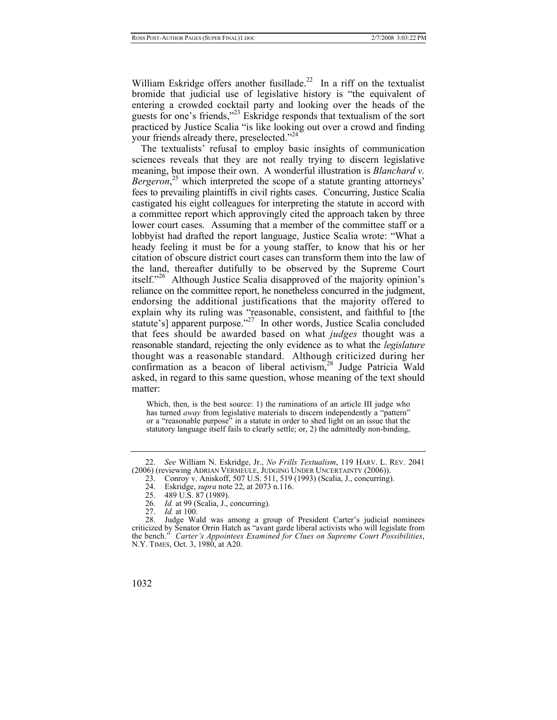William Eskridge offers another fusillade.<sup>22</sup> In a riff on the textualist bromide that judicial use of legislative history is "the equivalent of entering a crowded cocktail party and looking over the heads of the guests for one's friends,"[23](#page-5-1) Eskridge responds that textualism of the sort practiced by Justice Scalia "is like looking out over a crowd and finding your friends already there, preselected."<sup>[24](#page-5-2)</sup>

The textualists' refusal to employ basic insights of communication sciences reveals that they are not really trying to discern legislative meaning, but impose their own. A wonderful illustration is *Blanchard v.*  Bergeron,<sup>[25](#page-5-3)</sup> which interpreted the scope of a statute granting attorneys' fees to prevailing plaintiffs in civil rights cases. Concurring, Justice Scalia castigated his eight colleagues for interpreting the statute in accord with a committee report which approvingly cited the approach taken by three lower court cases. Assuming that a member of the committee staff or a lobbyist had drafted the report language, Justice Scalia wrote: "What a heady feeling it must be for a young staffer, to know that his or her citation of obscure district court cases can transform them into the law of the land, thereafter dutifully to be observed by the Supreme Court itself."[26](#page-5-4) Although Justice Scalia disapproved of the majority opinion's reliance on the committee report, he nonetheless concurred in the judgment, endorsing the additional justifications that the majority offered to explain why its ruling was "reasonable, consistent, and faithful to [the statute's] apparent purpose."<sup>27</sup> In other words, Justice Scalia concluded that fees should be awarded based on what *judges* thought was a reasonable standard, rejecting the only evidence as to what the *legislature* thought was a reasonable standard. Although criticized during her confirmation as a beacon of liberal activism,<sup>28</sup> Judge Patricia Wald asked, in regard to this same question, whose meaning of the text should matter:

Which, then, is the best source: 1) the ruminations of an article III judge who has turned *away* from legislative materials to discern independently a "pattern" or a "reasonable purpose" in a statute in order to shed light on an issue that the statutory language itself fails to clearly settle; or, 2) the admittedly non-binding,

<span id="page-5-0"></span><sup>22.</sup> *See* William N. Eskridge, Jr., *No Frills Textualism*, 119 HARV. L. REV. 2041 (2006) (reviewing ADRIAN VERMEULE, JUDGING UNDER UNCERTAINTY (2006)).

<span id="page-5-1"></span><sup>23.</sup> Conroy v. Aniskoff, 507 U.S. 511, 519 (1993) (Scalia, J., concurring).<br>24. Eskridge. *supra* note 22. at 2073 n.116.

<span id="page-5-2"></span> <sup>24.</sup> Eskridge, *supra* note 22, at 2073 n.116.

<span id="page-5-3"></span> <sup>25. 489</sup> U.S. 87 (1989).

<span id="page-5-4"></span><sup>26.</sup> *Id.* at 99 (Scalia, J., concurring).

<span id="page-5-6"></span><span id="page-5-5"></span><sup>27.</sup> *Id.* at 100.

 <sup>28.</sup> Judge Wald was among a group of President Carter's judicial nominees criticized by Senator Orrin Hatch as "avant garde liberal activists who will legislate from the bench." *Carter's Appointees Examined for Clues on Supreme Court Possibilities*, N.Y. TIMES, Oct. 3, 1980, at A20.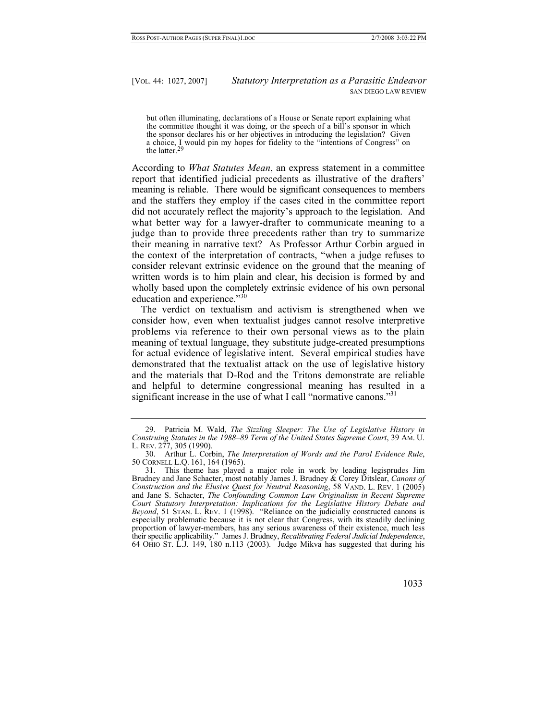but often illuminating, declarations of a House or Senate report explaining what the committee thought it was doing, or the speech of a bill's sponsor in which the sponsor declares his or her objectives in introducing the legislation? Given a choice, I would pin my hopes for fidelity to the "intentions of Congress" on the latter[.](#page-6-0)<sup>29</sup>

According to *What Statutes Mean*, an express statement in a committee report that identified judicial precedents as illustrative of the drafters' meaning is reliable. There would be significant consequences to members and the staffers they employ if the cases cited in the committee report did not accurately reflect the majority's approach to the legislation. And what better way for a lawyer-drafter to communicate meaning to a judge than to provide three precedents rather than try to summarize their meaning in narrative text? As Professor Arthur Corbin argued in the context of the interpretation of contracts, "when a judge refuses to consider relevant extrinsic evidence on the ground that the meaning of written words is to him plain and clear, his decision is formed by and wholly based upon the completely extrinsic evidence of his own personal education and experience."<sup>30</sup>

The verdict on textualism and activism is strengthened when we consider how, even when textualist judges cannot resolve interpretive problems via reference to their own personal views as to the plain meaning of textual language, they substitute judge-created presumptions for actual evidence of legislative intent. Several empirical studies have demonstrated that the textualist attack on the use of legislative history and the materials that D-Rod and the Tritons demonstrate are reliable and helpful to determine congressional meaning has resulted in a significant increase in the use of what I call "normative canons."<sup>[31](#page-6-2)</sup>

<span id="page-6-2"></span> <sup>31.</sup> This theme has played a major role in work by leading legisprudes Jim Brudney and Jane Schacter, most notably James J. Brudney & Corey Ditslear, *Canons of Construction and the Elusive Quest for Neutral Reasoning*, 58 VAND. L. REV. 1 (2005) and Jane S. Schacter, *The Confounding Common Law Originalism in Recent Supreme Court Statutory Interpretation: Implications for the Legislative History Debate and Beyond*, 51 STAN. L. REV. 1 (1998). "Reliance on the judicially constructed canons is especially problematic because it is not clear that Congress, with its steadily declining proportion of lawyer-members, has any serious awareness of their existence, much less their specific applicability." James J. Brudney, *Recalibrating Federal Judicial Independence*, 64 OHIO ST. L.J. 149, 180 n.113 (2003). Judge Mikva has suggested that during his



<span id="page-6-0"></span> <sup>29.</sup> Patricia M. Wald, *The Sizzling Sleeper: The Use of Legislative History in Construing Statutes in the 1988–89 Term of the United States Supreme Court*, 39 AM. U. L. REV. 277, 305 (1990).

<span id="page-6-1"></span> <sup>30.</sup> Arthur L. Corbin, *The Interpretation of Words and the Parol Evidence Rule*, 50 CORNELL L.Q. 161, 164 (1965).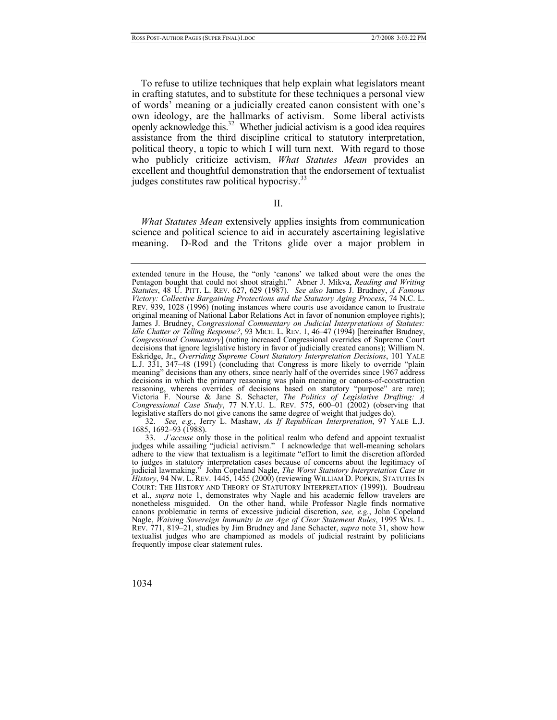To refuse to utilize techniques that help explain what legislators meant in crafting statutes, and to substitute for these techniques a personal view of words' meaning or a judicially created canon consistent with one's own ideology, are the hallmarks of activism. Some liberal activists openly acknowledge this.<sup>32</sup> Whether judicial activism is a good idea requires assistance from the third discipline critical to statutory interpretation, political theory, a topic to which I will turn next. With regard to those who publicly criticize activism, *What Statutes Mean* provides an excellent and thoughtful demonstration that the endorsement of textualist judges constitutes raw political hypocrisy.<sup>[33](#page-7-1)</sup>

II.

*What Statutes Mean* extensively applies insights from communication science and political science to aid in accurately ascertaining legislative meaning. D-Rod and the Tritons glide over a major problem in

<span id="page-7-0"></span>32. *See, e.g.*, Jerry L. Mashaw, *As If Republican Interpretation*, 97 YALE L.J. 1685, 1692–93 (1988).

extended tenure in the House, the "only 'canons' we talked about were the ones the Pentagon bought that could not shoot straight." Abner J. Mikva, *Reading and Writing Statutes*, 48 U. PITT. L. REV. 627, 629 (1987). *See also* James J. Brudney, *A Famous Victory: Collective Bargaining Protections and the Statutory Aging Process*, 74 N.C. L. REV. 939, 1028 (1996) (noting instances where courts use avoidance canon to frustrate original meaning of National Labor Relations Act in favor of nonunion employee rights); James J. Brudney, *Congressional Commentary on Judicial Interpretations of Statutes: Idle Chatter or Telling Response?*, 93 MICH. L. REV. 1, 46–47 (1994) [hereinafter Brudney, *Congressional Commentary*] (noting increased Congressional overrides of Supreme Court decisions that ignore legislative history in favor of judicially created canons); William N. Eskridge, Jr., *Overriding Supreme Court Statutory Interpretation Decisions*, 101 YALE L.J. 331, 347–48 (1991) (concluding that Congress is more likely to override "plain meaning" decisions than any others, since nearly half of the overrides since 1967 address decisions in which the primary reasoning was plain meaning or canons-of-construction reasoning, whereas overrides of decisions based on statutory "purpose" are rare); Victoria F. Nourse & Jane S. Schacter, *The Politics of Legislative Drafting: A Congressional Case Study*, 77 N.Y.U. L. REV. 575, 600–01 (2002) (observing that legislative staffers do not give canons the same degree of weight that judges do).

<span id="page-7-1"></span><sup>33.</sup> *J'accuse* only those in the political realm who defend and appoint textualist judges while assailing "judicial activism." I acknowledge that well-meaning scholars adhere to the view that textualism is a legitimate "effort to limit the discretion afforded to judges in statutory interpretation cases because of concerns about the legitimacy of judicial lawmaking." John Copeland Nagle, *The Worst Statutory Interpretation Case in History*, 94 NW. L. REV. 1445, 1455 (2000) (reviewing WILLIAM D. POPKIN, STATUTES IN COURT: THE HISTORY AND THEORY OF STATUTORY INTERPRETATION (1999)). Boudreau et al., *supra* note 1, demonstrates why Nagle and his academic fellow travelers are nonetheless misguided. On the other hand, while Professor Nagle finds normative canons problematic in terms of excessive judicial discretion, *see, e.g.*, John Copeland Nagle, *Waiving Sovereign Immunity in an Age of Clear Statement Rules*, 1995 WIS. L. REV. 771, 819–21, studies by Jim Brudney and Jane Schacter, *supra* note 31, show how textualist judges who are championed as models of judicial restraint by politicians frequently impose clear statement rules.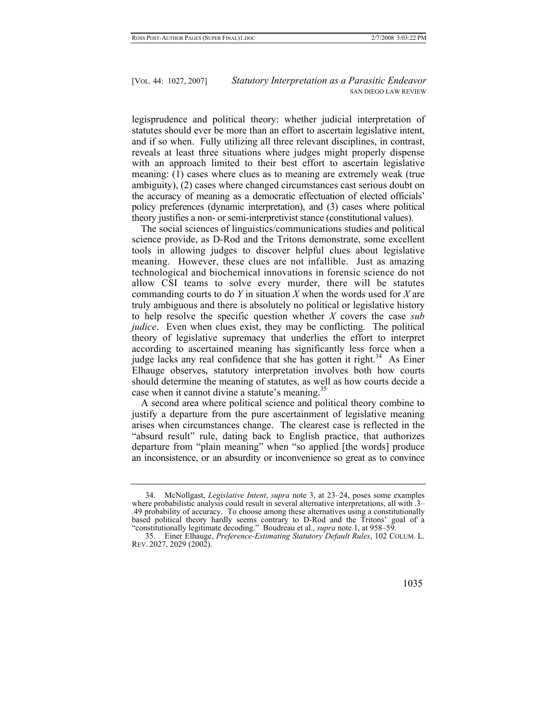legisprudence and political theory: whether judicial interpretation of statutes should ever be more than an effort to ascertain legislative intent, and if so when. Fully utilizing all three relevant disciplines, in contrast, reveals at least three situations where judges might properly dispense with an approach limited to their best effort to ascertain legislative meaning: (1) cases where clues as to meaning are extremely weak (true ambiguity), (2) cases where changed circumstances cast serious doubt on the accuracy of meaning as a democratic effectuation of elected officials' policy preferences (dynamic interpretation), and (3) cases where political theory justifies a non- or semi-interpretivist stance (constitutional values).

The social sciences of linguistics/communications studies and political science provide, as D-Rod and the Tritons demonstrate, some excellent tools in allowing judges to discover helpful clues about legislative meaning. However, these clues are not infallible. Just as amazing technological and biochemical innovations in forensic science do not allow CSI teams to solve every murder, there will be statutes commanding courts to do *Y* in situation *X* when the words used for *X* are truly ambiguous and there is absolutely no political or legislative history to help resolve the specific question whether *X* covers the case *sub judice*. Even when clues exist, they may be conflicting. The political theory of legislative supremacy that underlies the effort to interpret according to ascertained meaning has significantly less force when a judge lacks any real confidence that she has gotten it right.<sup>34</sup> As Einer Elhauge observes, statutory interpretation involves both how courts should determine the meaning of statutes, as well as how courts decide a case when it cannot divine a statute's meaning.<sup>[35](#page-8-1)</sup>

A second area where political science and political theory combine to justify a departure from the pure ascertainment of legislative meaning arises when circumstances change. The clearest case is reflected in the "absurd result" rule, dating back to English practice, that authorizes departure from "plain meaning" when "so applied [the words] produce an inconsistence, or an absurdity or inconvenience so great as to convince

<span id="page-8-1"></span> <sup>35.</sup> Einer Elhauge, *Preference-Estimating Statutory Default Rules*, 102 COLUM. L. REV. 2027, 2029 (2002).



<span id="page-8-0"></span> <sup>34.</sup> McNollgast, *Legislative Intent*, *supra* note 3, at 23–24, poses some examples where probabilistic analysis could result in several alternative interpretations, all with .3– .49 probability of accuracy. To choose among these alternatives using a constitutionally based political theory hardly seems contrary to D-Rod and the Tritons' goal of a "constitutionally legitimate decoding." Boudreau et al., *supra* note 1, at 958–59.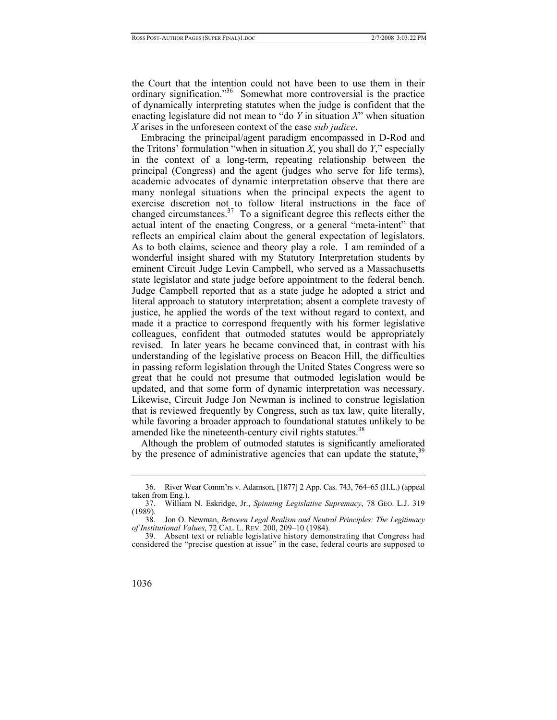the Court that the intention could not have been to use them in their ordinary signification."<sup>36</sup> Somewhat more controversial is the practice of dynamically interpreting statutes when the judge is confident that the enacting legislature did not mean to "do *Y* in situation *X*" when situation *X* arises in the unforeseen context of the case *sub judice*.

Embracing the principal/agent paradigm encompassed in D-Rod and the Tritons' formulation "when in situation *X*, you shall do *Y*," especially in the context of a long-term, repeating relationship between the principal (Congress) and the agent (judges who serve for life terms), academic advocates of dynamic interpretation observe that there are many nonlegal situations when the principal expects the agent to exercise discretion not to follow literal instructions in the face of changed circumstances.<sup>37</sup> To a significant degree this reflects either the actual intent of the enacting Congress, or a general "meta-intent" that reflects an empirical claim about the general expectation of legislators. As to both claims, science and theory play a role. I am reminded of a wonderful insight shared with my Statutory Interpretation students by eminent Circuit Judge Levin Campbell, who served as a Massachusetts state legislator and state judge before appointment to the federal bench. Judge Campbell reported that as a state judge he adopted a strict and literal approach to statutory interpretation; absent a complete travesty of justice, he applied the words of the text without regard to context, and made it a practice to correspond frequently with his former legislative colleagues, confident that outmoded statutes would be appropriately revised. In later years he became convinced that, in contrast with his understanding of the legislative process on Beacon Hill, the difficulties in passing reform legislation through the United States Congress were so great that he could not presume that outmoded legislation would be updated, and that some form of dynamic interpretation was necessary. Likewise, Circuit Judge Jon Newman is inclined to construe legislation that is reviewed frequently by Congress, such as tax law, quite literally, while favoring a broader approach to foundational statutes unlikely to be amended like the nineteenth-century civil rights statutes.<sup>[38](#page-9-2)</sup>

Although the problem of outmoded statutes is significantly ameliorated by the presence of administrative agencies that can update the statute,<sup>[39](#page-9-3)</sup>

<span id="page-9-0"></span> <sup>36.</sup> River Wear Comm'rs v. Adamson, [1877] 2 App. Cas. 743, 764–65 (H.L.) (appeal taken from Eng.).

<span id="page-9-1"></span> <sup>37.</sup> William N. Eskridge, Jr., *Spinning Legislative Supremacy*, 78 GEO. L.J. 319 (1989).

<span id="page-9-2"></span> <sup>38.</sup> Jon O. Newman, *Between Legal Realism and Neutral Principles: The Legitimacy of Institutional Values*, 72 CAL. L. REV. 200, 209–10 (1984).

<span id="page-9-3"></span> <sup>39.</sup> Absent text or reliable legislative history demonstrating that Congress had considered the "precise question at issue" in the case, federal courts are supposed to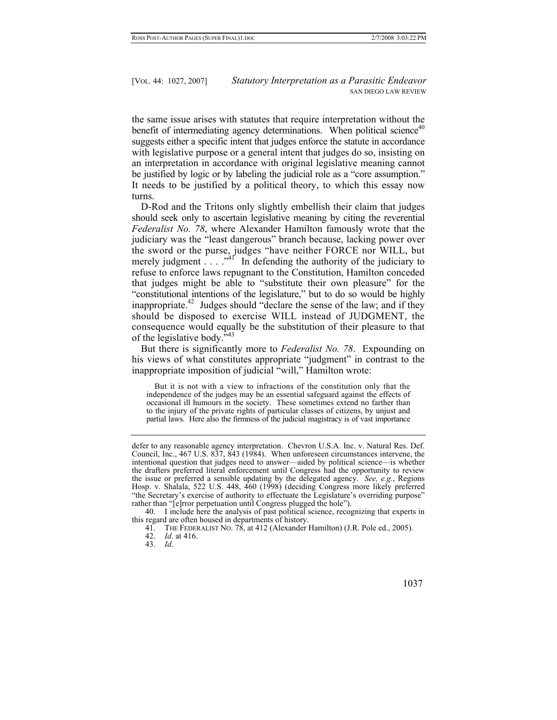the same issue arises with statutes that require interpretation without the benefit of intermediating agency determinations. When political science<sup>40</sup> suggests either a specific intent that judges enforce the statute in accordance with legislative purpose or a general intent that judges do so, insisting on an interpretation in accordance with original legislative meaning cannot be justified by logic or by labeling the judicial role as a "core assumption." It needs to be justified by a political theory, to which this essay now turns.

D-Rod and the Tritons only slightly embellish their claim that judges should seek only to ascertain legislative meaning by citing the reverential *Federalist No. 78*, where Alexander Hamilton famously wrote that the judiciary was the "least dangerous" branch because, lacking power over the sword or the purse, judges "have neither FORCE nor WILL, but merely judgment  $\ldots$   $\mathbb{R}^4$  In defending the authority of the judiciary to refuse to enforce laws repugnant to the Constitution, Hamilton conceded that judges might be able to "substitute their own pleasure" for the "constitutional intentions of the legislature," but to do so would be highly inappropriate. $42$  Judges should "declare the sense of the law; and if they should be disposed to exercise WILL instead of JUDGMENT, the consequence would equally be the substitution of their pleasure to that of the legislative body.<sup>7[43](#page-10-3)</sup>

But there is significantly more to *Federalist No. 78*. Expounding on his views of what constitutes appropriate "judgment" in contrast to the inappropriate imposition of judicial "will," Hamilton wrote:

 But it is not with a view to infractions of the constitution only that the independence of the judges may be an essential safeguard against the effects of occasional ill humours in the society. These sometimes extend no farther than to the injury of the private rights of particular classes of citizens, by unjust and partial laws. Here also the firmness of the judicial magistracy is of vast importance

<span id="page-10-0"></span> 40. I include here the analysis of past political science, recognizing that experts in this regard are often housed in departments of history.

<span id="page-10-1"></span>41. THE FEDERALIST NO. 78, at 412 (Alexander Hamilton) (J.R. Pole ed., 2005).

<span id="page-10-2"></span>42. *Id*. at 416.

<span id="page-10-3"></span>43. *Id*.

defer to any reasonable agency interpretation. Chevron U.S.A. Inc. v. Natural Res. Def. Council, Inc., 467 U.S. 837, 843 (1984). When unforeseen circumstances intervene, the intentional question that judges need to answer—aided by political science—is whether the drafters preferred literal enforcement until Congress had the opportunity to review the issue or preferred a sensible updating by the delegated agency. *See, e.g.*, Regions Hosp. v. Shalala, 522 U.S. 448, 460 (1998) (deciding Congress more likely preferred "the Secretary's exercise of authority to effectuate the Legislature's overriding purpose" rather than "[e]rror perpetuation until Congress plugged the hole").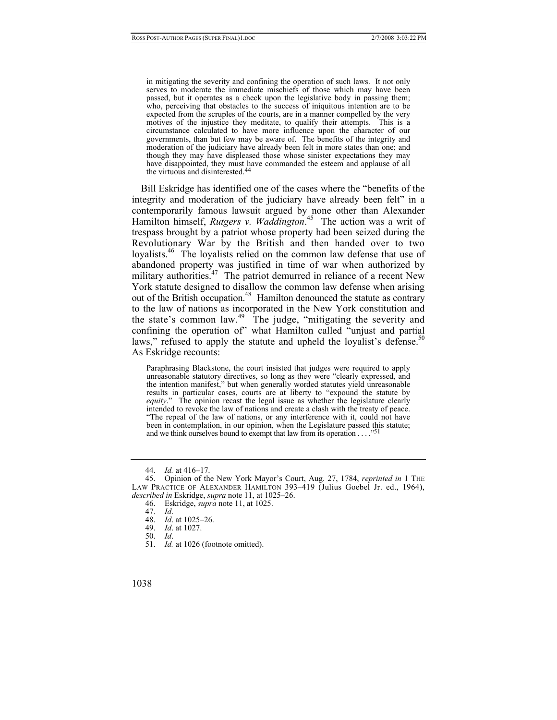in mitigating the severity and confining the operation of such laws. It not only serves to moderate the immediate mischiefs of those which may have been passed, but it operates as a check upon the legislative body in passing them; who, perceiving that obstacles to the success of iniquitous intention are to be expected from the scruples of the courts, are in a manner compelled by the very motives of the injustice they meditate, to qualify their attempts. This is a circumstance calculated to have more influence upon the character of our governments, than but few may be aware of. The benefits of the integrity and moderation of the judiciary have already been felt in more states than one; and though they may have displeased those whose sinister expectations they may have disappointed, they must have commanded the esteem and applause of all the virtuous and disinterested[.](#page-11-0)44

Bill Eskridge has identified one of the cases where the "benefits of the integrity and moderation of the judiciary have already been felt" in a contemporarily famous lawsuit argued by none other than Alexander Hamilton himself, *Rutgers v. Waddington*. [45](#page-11-1) The action was a writ of trespass brought by a patriot whose property had been seized during the Revolutionary War by the British and then handed over to two loyalists.<sup>46</sup> The loyalists relied on the common law defense that use of abandoned property was justified in time of war when authorized by military authorities.<sup>47</sup> The patriot demurred in reliance of a recent New York statute designed to disallow the common law defense when arising out of the British occupation.<sup>48</sup> Hamilton denounced the statute as contrary to the law of nations as incorporated in the New York constitution and the state's common law.<sup>49</sup> The judge, "mitigating the severity and confining the operation of" what Hamilton called "unjust and partial laws," refused to apply the statute and upheld the loyalist's defense.<sup>50</sup> As Eskridge recounts:

Paraphrasing Blackstone, the court insisted that judges were required to apply unreasonable statutory directives, so long as they were "clearly expressed, and the intention manifest," but when generally worded statutes yield unreasonable results in particular cases, courts are at liberty to "expound the statute by *equity*." The opinion recast the legal issue as whether the legislature clearly intended to revoke the law of nations and create a clash with the treaty of peace. "The repeal of the law of nations, or any interference with it, could not have been in contemplation, in our opinion, when the Legislature passed this statute; and we think ourselves bound to exempt that law from its operation . . . .["](#page-11-7)51

- <span id="page-11-4"></span>48. *Id*. at 1025–26.
- <span id="page-11-5"></span>*Id.* at 1027.

<span id="page-11-1"></span><span id="page-11-0"></span><sup>44.</sup> *Id.* at 416–17.

 <sup>45.</sup> Opinion of the New York Mayor's Court, Aug. 27, 1784, *reprinted in* 1 THE LAW PRACTICE OF ALEXANDER HAMILTON 393–419 (Julius Goebel Jr. ed., 1964), *described in* Eskridge, *supra* note 11, at 1025–26.

<span id="page-11-2"></span> <sup>46.</sup> Eskridge, *supra* note 11, at 1025.

<span id="page-11-3"></span><sup>47.</sup> *Id*.

<span id="page-11-6"></span><sup>50.</sup> *Id*.

<span id="page-11-7"></span><sup>51.</sup> *Id.* at 1026 (footnote omitted).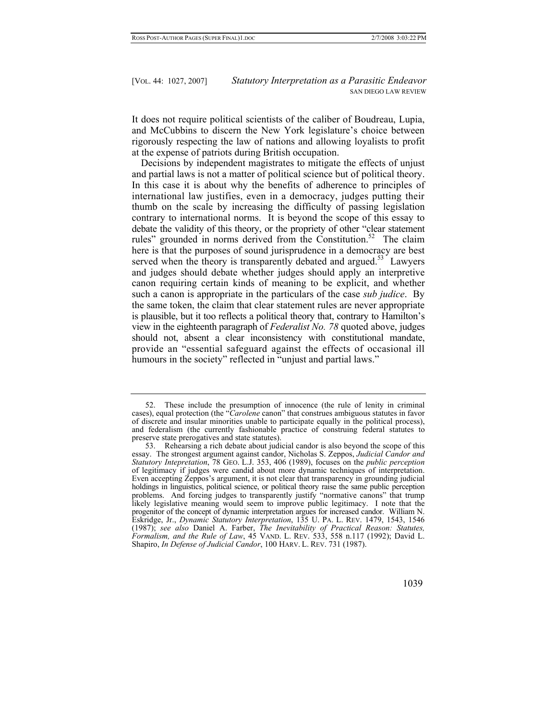It does not require political scientists of the caliber of Boudreau, Lupia, and McCubbins to discern the New York legislature's choice between rigorously respecting the law of nations and allowing loyalists to profit at the expense of patriots during British occupation.

Decisions by independent magistrates to mitigate the effects of unjust and partial laws is not a matter of political science but of political theory. In this case it is about why the benefits of adherence to principles of international law justifies, even in a democracy, judges putting their thumb on the scale by increasing the difficulty of passing legislation contrary to international norms. It is beyond the scope of this essay to debate the validity of this theory, or the propriety of other "clear statement rules" grounded in norms derived from the Constitution.<sup>52</sup> The claim here is that the purposes of sound jurisprudence in a democracy are best served when the theory is transparently debated and argued.<sup>53</sup> Lawyers and judges should debate whether judges should apply an interpretive canon requiring certain kinds of meaning to be explicit, and whether such a canon is appropriate in the particulars of the case *sub judice*. By the same token, the claim that clear statement rules are never appropriate is plausible, but it too reflects a political theory that, contrary to Hamilton's view in the eighteenth paragraph of *Federalist No. 78* quoted above, judges should not, absent a clear inconsistency with constitutional mandate, provide an "essential safeguard against the effects of occasional ill humours in the society" reflected in "unjust and partial laws."

<span id="page-12-1"></span> <sup>53.</sup> Rehearsing a rich debate about judicial candor is also beyond the scope of this essay. The strongest argument against candor, Nicholas S. Zeppos, *Judicial Candor and Statutory Intepretation*, 78 GEO. L.J. 353, 406 (1989), focuses on the *public perception* of legitimacy if judges were candid about more dynamic techniques of interpretation. Even accepting Zeppos's argument, it is not clear that transparency in grounding judicial holdings in linguistics, political science, or political theory raise the same public perception problems. And forcing judges to transparently justify "normative canons" that trump likely legislative meaning would seem to improve public legitimacy. I note that the progenitor of the concept of dynamic interpretation argues for increased candor. William N. Eskridge, Jr., *Dynamic Statutory Interpretation*, 135 U. PA. L. REV. 1479, 1543, 1546 (1987); *see also* Daniel A. Farber, *The Inevitability of Practical Reason: Statutes, Formalism, and the Rule of Law*, 45 VAND. L. REV. 533, 558 n.117 (1992); David L. Shapiro, *In Defense of Judicial Candor*, 100 HARV. L. REV. 731 (1987).



<span id="page-12-0"></span> <sup>52.</sup> These include the presumption of innocence (the rule of lenity in criminal cases), equal protection (the "*Carolene* canon" that construes ambiguous statutes in favor of discrete and insular minorities unable to participate equally in the political process), and federalism (the currently fashionable practice of construing federal statutes to preserve state prerogatives and state statutes).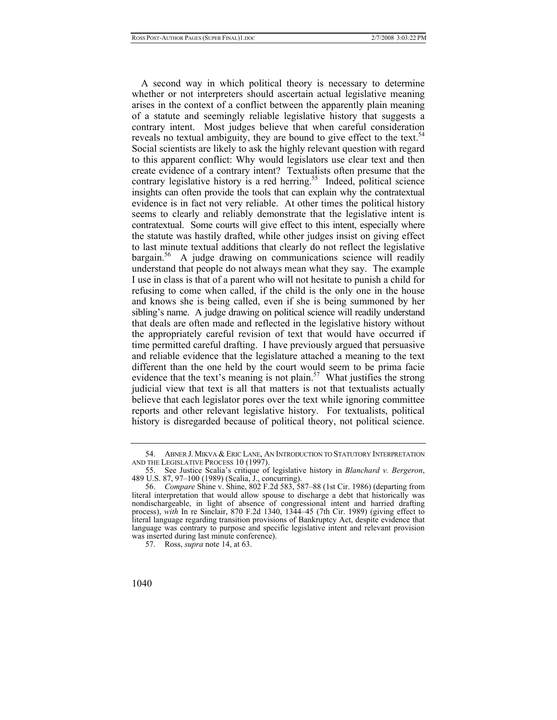A second way in which political theory is necessary to determine whether or not interpreters should ascertain actual legislative meaning arises in the context of a conflict between the apparently plain meaning of a statute and seemingly reliable legislative history that suggests a contrary intent. Most judges believe that when careful consideration reveals no textual ambiguity, they are bound to give effect to the text.<sup>54</sup> Social scientists are likely to ask the highly relevant question with regard to this apparent conflict: Why would legislators use clear text and then create evidence of a contrary intent? Textualists often presume that the contrary legislative history is a red herring.<sup>55</sup> Indeed, political science insights can often provide the tools that can explain why the contratextual evidence is in fact not very reliable. At other times the political history seems to clearly and reliably demonstrate that the legislative intent is contratextual. Some courts will give effect to this intent, especially where the statute was hastily drafted, while other judges insist on giving effect to last minute textual additions that clearly do not reflect the legislative  $bar$ gain.<sup>56</sup> A judge drawing on communications science will readily understand that people do not always mean what they say. The example I use in class is that of a parent who will not hesitate to punish a child for refusing to come when called, if the child is the only one in the house and knows she is being called, even if she is being summoned by her sibling's name. A judge drawing on political science will readily understand that deals are often made and reflected in the legislative history without the appropriately careful revision of text that would have occurred if time permitted careful drafting. I have previously argued that persuasive and reliable evidence that the legislature attached a meaning to the text different than the one held by the court would seem to be prima facie evidence that the text's meaning is not plain.<sup>57</sup> What justifies the strong judicial view that text is all that matters is not that textualists actually believe that each legislator pores over the text while ignoring committee reports and other relevant legislative history. For textualists, political history is disregarded because of political theory, not political science.

<span id="page-13-0"></span> <sup>54.</sup> ABNER J. MIKVA & ERIC LANE, AN INTRODUCTION TO STATUTORY INTERPRETATION AND THE LEGISLATIVE PROCESS 10 (1997).

<span id="page-13-1"></span> <sup>55.</sup> See Justice Scalia's critique of legislative history in *Blanchard v. Bergeron*, 489 U.S. 87, 97–100 (1989) (Scalia, J., concurring).

<span id="page-13-2"></span><sup>56.</sup> *Compare* Shine v. Shine, 802 F.2d 583, 587–88 (1st Cir. 1986) (departing from literal interpretation that would allow spouse to discharge a debt that historically was nondischargeable, in light of absence of congressional intent and harried drafting process), *with* In re Sinclair, 870 F.2d 1340, 1344–45 (7th Cir. 1989) (giving effect to literal language regarding transition provisions of Bankruptcy Act, despite evidence that language was contrary to purpose and specific legislative intent and relevant provision was inserted during last minute conference).

<span id="page-13-3"></span> <sup>57.</sup> Ross, *supra* note 14, at 63.

<sup>1040</sup>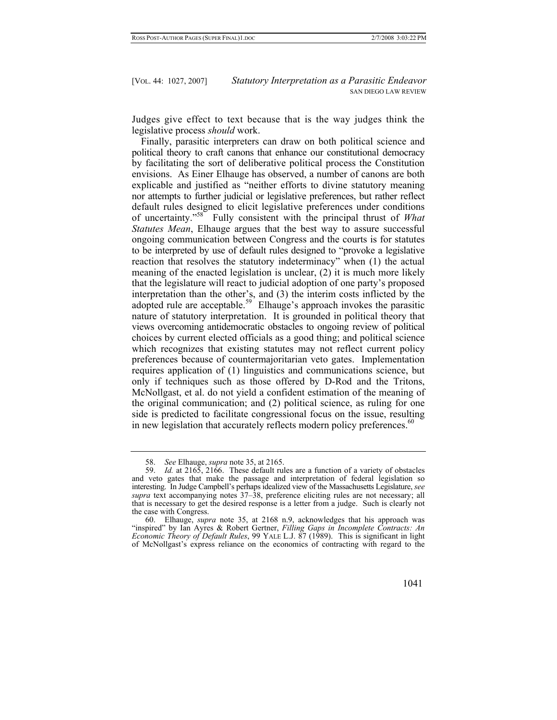Judges give effect to text because that is the way judges think the legislative process *should* work.

Finally, parasitic interpreters can draw on both political science and political theory to craft canons that enhance our constitutional democracy by facilitating the sort of deliberative political process the Constitution envisions. As Einer Elhauge has observed, a number of canons are both explicable and justified as "neither efforts to divine statutory meaning nor attempts to further judicial or legislative preferences, but rather reflect default rules designed to elicit legislative preferences under conditions of uncertainty."[58](#page-14-0) Fully consistent with the principal thrust of *What Statutes Mean*, Elhauge argues that the best way to assure successful ongoing communication between Congress and the courts is for statutes to be interpreted by use of default rules designed to "provoke a legislative reaction that resolves the statutory indeterminacy" when (1) the actual meaning of the enacted legislation is unclear, (2) it is much more likely that the legislature will react to judicial adoption of one party's proposed interpretation than the other's, and (3) the interim costs inflicted by the adopted rule are acceptable.<sup>59</sup> Elhauge's approach invokes the parasitic nature of statutory interpretation. It is grounded in political theory that views overcoming antidemocratic obstacles to ongoing review of political choices by current elected officials as a good thing; and political science which recognizes that existing statutes may not reflect current policy preferences because of countermajoritarian veto gates. Implementation requires application of (1) linguistics and communications science, but only if techniques such as those offered by D-Rod and the Tritons, McNollgast, et al. do not yield a confident estimation of the meaning of the original communication; and (2) political science, as ruling for one side is predicted to facilitate congressional focus on the issue, resulting in new legislation that accurately reflects modern policy preferences.<sup>[60](#page-14-2)</sup>

<span id="page-14-2"></span> <sup>60.</sup> Elhauge, *supra* note 35, at 2168 n.9, acknowledges that his approach was "inspired" by Ian Ayres & Robert Gertner, *Filling Gaps in Incomplete Contracts: An Economic Theory of Default Rules*, 99 YALE L.J. 87 (1989). This is significant in light of McNollgast's express reliance on the economics of contracting with regard to the



<span id="page-14-1"></span><span id="page-14-0"></span><sup>58.</sup> *See* Elhauge, *supra* note 35, at 2165.

<sup>59.</sup> *Id.* at 2165, 2166. These default rules are a function of a variety of obstacles and veto gates that make the passage and interpretation of federal legislation so interesting. In Judge Campbell's perhaps idealized view of the Massachusetts Legislature, *see supra* text accompanying notes 37–38, preference eliciting rules are not necessary; all that is necessary to get the desired response is a letter from a judge. Such is clearly not the case with Congress.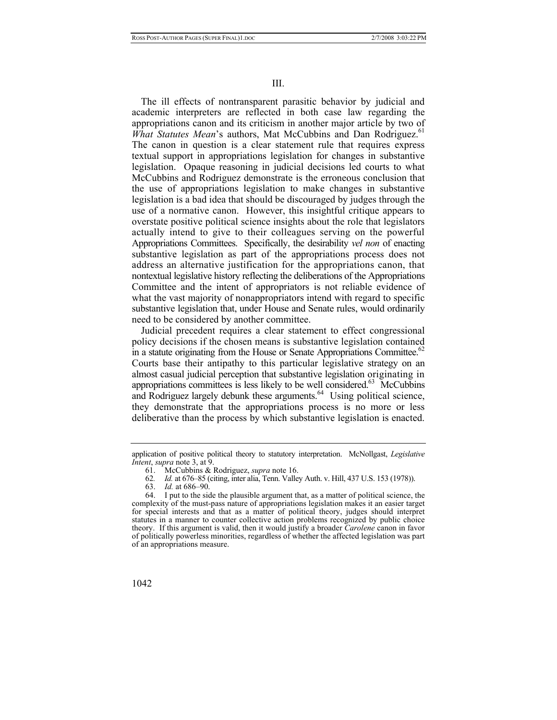The ill effects of nontransparent parasitic behavior by judicial and academic interpreters are reflected in both case law regarding the appropriations canon and its criticism in another major article by two of *What Statutes Mean's* authors, Mat McCubbins and Dan Rodriguez.<sup>61</sup> The canon in question is a clear statement rule that requires express textual support in appropriations legislation for changes in substantive legislation. Opaque reasoning in judicial decisions led courts to what McCubbins and Rodriguez demonstrate is the erroneous conclusion that the use of appropriations legislation to make changes in substantive legislation is a bad idea that should be discouraged by judges through the use of a normative canon. However, this insightful critique appears to overstate positive political science insights about the role that legislators actually intend to give to their colleagues serving on the powerful Appropriations Committees. Specifically, the desirability *vel non* of enacting substantive legislation as part of the appropriations process does not address an alternative justification for the appropriations canon, that nontextual legislative history reflecting the deliberations of the Appropriations Committee and the intent of appropriators is not reliable evidence of what the vast majority of nonappropriators intend with regard to specific substantive legislation that, under House and Senate rules, would ordinarily need to be considered by another committee.

Judicial precedent requires a clear statement to effect congressional policy decisions if the chosen means is substantive legislation contained in a statute originating from the House or Senate Appropriations Committee.<sup>62</sup> Courts base their antipathy to this particular legislative strategy on an almost casual judicial perception that substantive legislation originating in appropriations committees is less likely to be well considered.<sup>63</sup> McCubbins and Rodriguez largely debunk these arguments.<sup>64</sup> Using political science, they demonstrate that the appropriations process is no more or less deliberative than the process by which substantive legislation is enacted.

application of positive political theory to statutory interpretation. McNollgast, *Legislative Intent*, *supra* note 3, at 9.

<span id="page-15-0"></span> <sup>61.</sup> McCubbins & Rodriguez, *supra* note 16.

<span id="page-15-1"></span><sup>62</sup>*. Id.* at 676–85 (citing, inter alia, Tenn. Valley Auth. v. Hill, 437 U.S. 153 (1978)).

<span id="page-15-3"></span><span id="page-15-2"></span><sup>63.</sup> *Id.* at 686–90.

 <sup>64.</sup> I put to the side the plausible argument that, as a matter of political science, the complexity of the must-pass nature of appropriations legislation makes it an easier target for special interests and that as a matter of political theory, judges should interpret statutes in a manner to counter collective action problems recognized by public choice theory. If this argument is valid, then it would justify a broader *Carolene* canon in favor of politically powerless minorities, regardless of whether the affected legislation was part of an appropriations measure.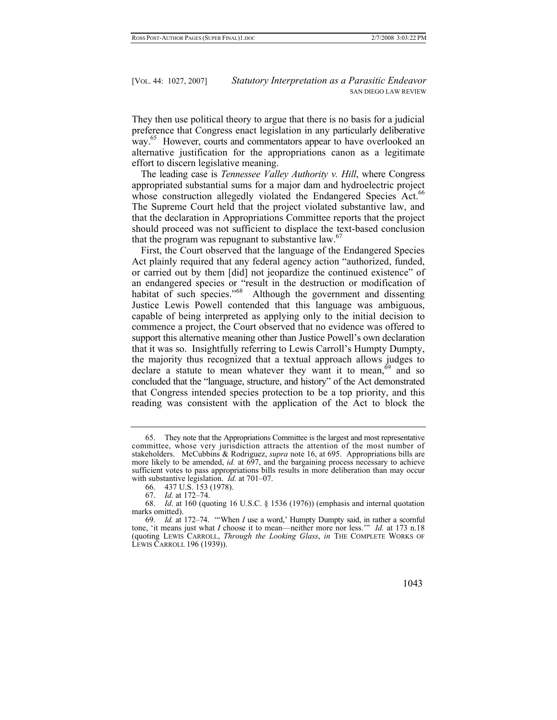They then use political theory to argue that there is no basis for a judicial preference that Congress enact legislation in any particularly deliberative way.<sup>65</sup> However, courts and commentators appear to have overlooked an alternative justification for the appropriations canon as a legitimate effort to discern legislative meaning.

The leading case is *Tennessee Valley Authority v. Hill*, where Congress appropriated substantial sums for a major dam and hydroelectric project whose construction allegedly violated the Endangered Species Act.<sup>66</sup> The Supreme Court held that the project violated substantive law, and that the declaration in Appropriations Committee reports that the project should proceed was not sufficient to displace the text-based conclusion that the program was repugnant to substantive law.<sup>[67](#page-16-2)</sup>

First, the Court observed that the language of the Endangered Species Act plainly required that any federal agency action "authorized, funded, or carried out by them [did] not jeopardize the continued existence" of an endangered species or "result in the destruction or modification of habitat of such species."<sup>68</sup> Although the government and dissenting Justice Lewis Powell contended that this language was ambiguous, capable of being interpreted as applying only to the initial decision to commence a project, the Court observed that no evidence was offered to support this alternative meaning other than Justice Powell's own declaration that it was so. Insightfully referring to Lewis Carroll's Humpty Dumpty, the majority thus recognized that a textual approach allows judges to declare a statute to mean whatever they want it to mean,<sup>69</sup> and so concluded that the "language, structure, and history" of the Act demonstrated that Congress intended species protection to be a top priority, and this reading was consistent with the application of the Act to block the

<span id="page-16-4"></span><sup>69.</sup> *Id.* at 172–74. "'When *I* use a word,' Humpty Dumpty said, in rather a scornful tone, 'it means just what *I* choose it to mean—neither more nor less.'" *Id.* at 173 n.18 (quoting LEWIS CARROLL, *Through the Looking Glass*, *in* THE COMPLETE WORKS OF LEWIS CARROLL 196 (1939)).



<span id="page-16-0"></span> <sup>65.</sup> They note that the Appropriations Committee is the largest and most representative committee, whose very jurisdiction attracts the attention of the most number of stakeholders. McCubbins & Rodriguez, *supra* note 16, at 695. Appropriations bills are more likely to be amended, *id.* at 697, and the bargaining process necessary to achieve sufficient votes to pass appropriations bills results in more deliberation than may occur with substantive legislation. *Id.* at 701–07.

<span id="page-16-1"></span> <sup>66. 437</sup> U.S. 153 (1978).

<span id="page-16-3"></span><span id="page-16-2"></span><sup>67.</sup> *Id*. at 172–74.

<sup>68.</sup> *Id*. at 160 (quoting 16 U.S.C. § 1536 (1976)) (emphasis and internal quotation marks omitted).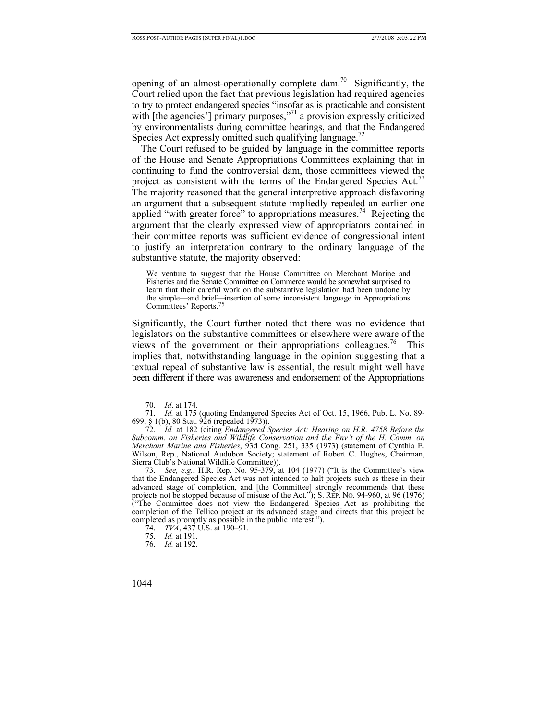opening of an almost-operationally complete dam.<sup>70</sup> Significantly, the Court relied upon the fact that previous legislation had required agencies to try to protect endangered species "insofar as is practicable and consistent with [the agencies'] primary purposes,<sup>771</sup> a provision expressly criticized by environmentalists during committee hearings, and that the Endangered Species Act expressly omitted such qualifying language.<sup>[72](#page-17-2)</sup>

The Court refused to be guided by language in the committee reports of the House and Senate Appropriations Committees explaining that in continuing to fund the controversial dam, those committees viewed the project as consistent with the terms of the Endangered Species Act.<sup>73</sup> The majority reasoned that the general interpretive approach disfavoring an argument that a subsequent statute impliedly repealed an earlier one applied "with greater force" to appropriations measures.<sup>74</sup> Rejecting the argument that the clearly expressed view of appropriators contained in their committee reports was sufficient evidence of congressional intent to justify an interpretation contrary to the ordinary language of the substantive statute, the majority observed:

We venture to suggest that the House Committee on Merchant Marine and Fisheries and the Senate Committee on Commerce would be somewhat surprised to learn that their careful work on the substantive legislation had been undone by the simple—and brief—insertion of some inconsistent language in Appropriations Committees' Reports[.](#page-17-5)75

Significantly, the Court further noted that there was no evidence that legislators on the substantive committees or elsewhere were aware of the views of the government or their appropriations colleagues.<sup>76</sup> This implies that, notwithstanding language in the opinion suggesting that a textual repeal of substantive law is essential, the result might well have been different if there was awareness and endorsement of the Appropriations

<span id="page-17-3"></span>73. *See, e.g.*, H.R. Rep. No. 95-379, at 104 (1977) ("It is the Committee's view that the Endangered Species Act was not intended to halt projects such as these in their advanced stage of completion, and [the Committee] strongly recommends that these projects not be stopped because of misuse of the Act."); S. REP. NO. 94-960, at 96 (1976) ("The Committee does not view the Endangered Species Act as prohibiting the completion of the Tellico project at its advanced stage and directs that this project be completed as promptly as possible in the public interest.").

<span id="page-17-1"></span><span id="page-17-0"></span><sup>70.</sup> *Id*. at 174.

<sup>71.</sup> *Id.* at 175 (quoting Endangered Species Act of Oct. 15, 1966, Pub. L. No. 89- 699, § 1(b), 80 Stat. 926 (repealed 1973)).

<span id="page-17-2"></span><sup>72.</sup> *Id.* at 182 (citing *Endangered Species Act: Hearing on H.R. 4758 Before the Subcomm. on Fisheries and Wildlife Conservation and the Env't of the H. Comm. on Merchant Marine and Fisheries*, 93d Cong. 251, 335 (1973) (statement of Cynthia E. Wilson, Rep., National Audubon Society; statement of Robert C. Hughes, Chairman, Sierra Club's National Wildlife Committee)).

<span id="page-17-4"></span><sup>74.</sup> *TVA*, 437 U.S. at 190–91.

<span id="page-17-5"></span><sup>75.</sup> *Id.* at 191.

<span id="page-17-6"></span><sup>76.</sup> *Id.* at 192.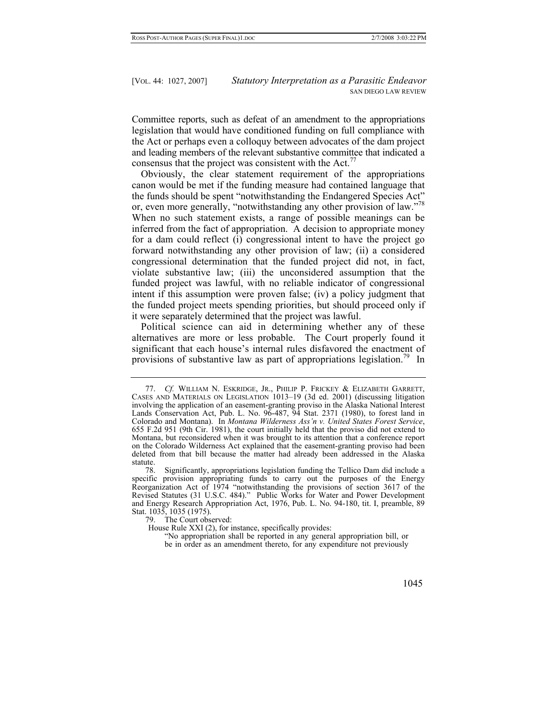Committee reports, such as defeat of an amendment to the appropriations legislation that would have conditioned funding on full compliance with the Act or perhaps even a colloquy between advocates of the dam project and leading members of the relevant substantive committee that indicated a consensus that the project was consistent with the Act.<sup>[77](#page-18-0)</sup>

Obviously, the clear statement requirement of the appropriations canon would be met if the funding measure had contained language that the funds should be spent "notwithstanding the Endangered Species Act" or, even more generally, "notwithstanding any other provision of law."<sup>78</sup> When no such statement exists, a range of possible meanings can be inferred from the fact of appropriation. A decision to appropriate money for a dam could reflect (i) congressional intent to have the project go forward notwithstanding any other provision of law; (ii) a considered congressional determination that the funded project did not, in fact, violate substantive law; (iii) the unconsidered assumption that the funded project was lawful, with no reliable indicator of congressional intent if this assumption were proven false; (iv) a policy judgment that the funded project meets spending priorities, but should proceed only if it were separately determined that the project was lawful.

Political science can aid in determining whether any of these alternatives are more or less probable. The Court properly found it significant that each house's internal rules disfavored the enactment of provisions of substantive law as part of appropriations legislation.<sup>79</sup> In

<sup>&</sup>quot;No appropriation shall be reported in any general appropriation bill, or be in order as an amendment thereto, for any expenditure not previously



<span id="page-18-0"></span><sup>77.</sup> *Cf.* WILLIAM N. ESKRIDGE, JR., PHILIP P. FRICKEY & ELIZABETH GARRETT, CASES AND MATERIALS ON LEGISLATION 1013–19 (3d ed. 2001) (discussing litigation involving the application of an easement-granting proviso in the Alaska National Interest Lands Conservation Act, Pub. L. No. 96-487, 94 Stat. 2371 (1980), to forest land in Colorado and Montana). In *Montana Wilderness Ass'n v. United States Forest Service*, 655 F.2d 951 (9th Cir. 1981), the court initially held that the proviso did not extend to Montana, but reconsidered when it was brought to its attention that a conference report on the Colorado Wilderness Act explained that the easement-granting proviso had been deleted from that bill because the matter had already been addressed in the Alaska statute.

<span id="page-18-1"></span>Significantly, appropriations legislation funding the Tellico Dam did include a specific provision appropriating funds to carry out the purposes of the Energy Reorganization Act of 1974 "notwithstanding the provisions of section 3617 of the Revised Statutes (31 U.S.C. 484)." Public Works for Water and Power Development and Energy Research Appropriation Act, 1976, Pub. L. No. 94-180, tit. I, preamble, 89 Stat. 1035, 1035 (1975).

<span id="page-18-2"></span> <sup>79.</sup> The Court observed:

House Rule XXI (2), for instance, specifically provides: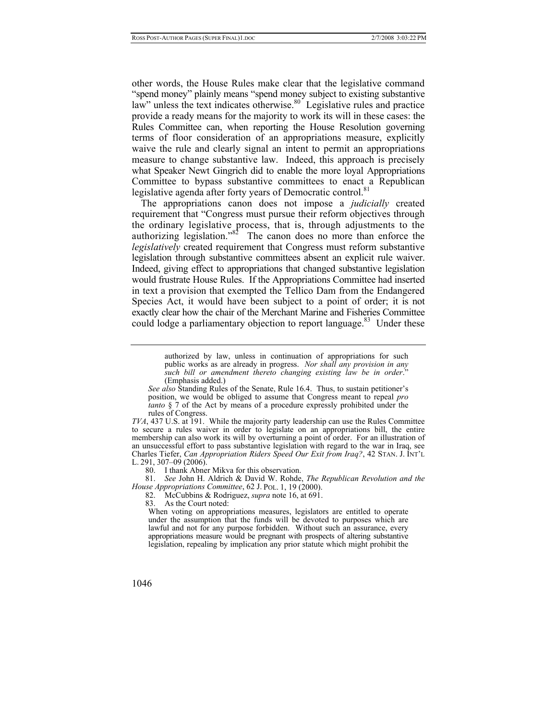other words, the House Rules make clear that the legislative command "spend money" plainly means "spend money subject to existing substantive law" unless the text indicates otherwise.<sup>80</sup> Legislative rules and practice provide a ready means for the majority to work its will in these cases: the Rules Committee can, when reporting the House Resolution governing terms of floor consideration of an appropriations measure, explicitly waive the rule and clearly signal an intent to permit an appropriations measure to change substantive law. Indeed, this approach is precisely what Speaker Newt Gingrich did to enable the more loyal Appropriations Committee to bypass substantive committees to enact a Republican legislative agenda after forty years of Democratic control.<sup>[81](#page-19-1)</sup>

The appropriations canon does not impose a *judicially* created requirement that "Congress must pursue their reform objectives through the ordinary legislative process, that is, through adjustments to the authorizing legislation." $82$  The canon does no more than enforce the *legislatively* created requirement that Congress must reform substantive legislation through substantive committees absent an explicit rule waiver. Indeed, giving effect to appropriations that changed substantive legislation would frustrate House Rules. If the Appropriations Committee had inserted in text a provision that exempted the Tellico Dam from the Endangered Species Act, it would have been subject to a point of order; it is not exactly clear how the chair of the Merchant Marine and Fisheries Committee could lodge a parliamentary objection to report language.<sup>83</sup> Under these

> authorized by law, unless in continuation of appropriations for such public works as are already in progress. *Nor shall any provision in any such bill or amendment thereto changing existing law be in order*." (Emphasis added.)

*TVA*, 437 U.S. at 191. While the majority party leadership can use the Rules Committee to secure a rules waiver in order to legislate on an appropriations bill, the entire membership can also work its will by overturning a point of order. For an illustration of an unsuccessful effort to pass substantive legislation with regard to the war in Iraq, see Charles Tiefer, *Can Appropriation Riders Speed Our Exit from Iraq?*, 42 STAN. J. INT'L L. 291, 307–09 (2006).

<span id="page-19-1"></span><span id="page-19-0"></span>80. I thank Abner Mikva for this observation.

81. *See* John H. Aldrich & David W. Rohde, *The Republican Revolution and the House Appropriations Committee*, 62 J. POL. 1, 19 (2000).

<span id="page-19-2"></span>82. McCubbins & Rodriguez, *supra* note 16, at 691.

<span id="page-19-3"></span>83. As the Court noted:

When voting on appropriations measures, legislators are entitled to operate under the assumption that the funds will be devoted to purposes which are lawful and not for any purpose forbidden. Without such an assurance, every appropriations measure would be pregnant with prospects of altering substantive legislation, repealing by implication any prior statute which might prohibit the

*See also* Standing Rules of the Senate, Rule 16.4. Thus, to sustain petitioner's position, we would be obliged to assume that Congress meant to repeal *pro tanto* § 7 of the Act by means of a procedure expressly prohibited under the rules of Congress.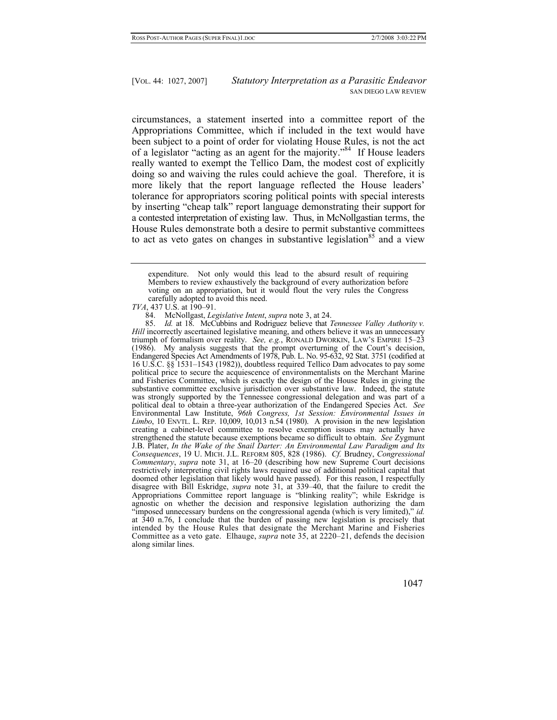circumstances, a statement inserted into a committee report of the Appropriations Committee, which if included in the text would have been subject to a point of order for violating House Rules, is not the act of a legislator "acting as an agent for the majority."[84](#page-20-0) If House leaders really wanted to exempt the Tellico Dam, the modest cost of explicitly doing so and waiving the rules could achieve the goal. Therefore, it is more likely that the report language reflected the House leaders' tolerance for appropriators scoring political points with special interests by inserting "cheap talk" report language demonstrating their support for a contested interpretation of existing law. Thus, in McNollgastian terms, the House Rules demonstrate both a desire to permit substantive committees to act as veto gates on changes in substantive legislation<sup>85</sup> and a view

<span id="page-20-1"></span>85. *Id.* at 18. McCubbins and Rodriguez believe that *Tennessee Valley Authority v. Hill* incorrectly ascertained legislative meaning, and others believe it was an unnecessary triumph of formalism over reality. *See, e.g.*, RONALD DWORKIN, LAW'S EMPIRE 15–23 (1986). My analysis suggests that the prompt overturning of the Court's decision, Endangered Species Act Amendments of 1978, Pub. L. No. 95-632, 92 Stat. 3751 (codified at 16 U.S.C. §§ 1531–1543 (1982)), doubtless required Tellico Dam advocates to pay some political price to secure the acquiescence of environmentalists on the Merchant Marine and Fisheries Committee, which is exactly the design of the House Rules in giving the substantive committee exclusive jurisdiction over substantive law. Indeed, the statute was strongly supported by the Tennessee congressional delegation and was part of a political deal to obtain a three-year authorization of the Endangered Species Act. *See* Environmental Law Institute, *96th Congress, 1st Session: Environmental Issues in Limbo*, 10 ENVTL. L. REP. 10,009, 10,013 n.54 (1980). A provision in the new legislation creating a cabinet-level committee to resolve exemption issues may actually have strengthened the statute because exemptions became so difficult to obtain. *See* Zygmunt J.B. Plater, *In the Wake of the Snail Darter: An Environmental Law Paradigm and Its Consequences*, 19 U. MICH. J.L. REFORM 805, 828 (1986). *Cf.* Brudney, *Congressional Commentary*, *supra* note 31, at 16–20 (describing how new Supreme Court decisions restrictively interpreting civil rights laws required use of additional political capital that doomed other legislation that likely would have passed). For this reason, I respectfully disagree with Bill Eskridge, *supra* note 31, at 339–40, that the failure to credit the Appropriations Committee report language is "blinking reality"; while Eskridge is agnostic on whether the decision and responsive legislation authorizing the dam "imposed unnecessary burdens on the congressional agenda (which is very limited)," *id.* at 340 n.76, I conclude that the burden of passing new legislation is precisely that intended by the House Rules that designate the Merchant Marine and Fisheries Committee as a veto gate. Elhauge, *supra* note 35, at 2220–21, defends the decision along similar lines.

expenditure. Not only would this lead to the absurd result of requiring Members to review exhaustively the background of every authorization before voting on an appropriation, but it would flout the very rules the Congress carefully adopted to avoid this need.

*TVA*, 437 U.S. at 190–91.

<span id="page-20-0"></span> <sup>84.</sup> McNollgast, *Legislative Intent*, *supra* note 3, at 24.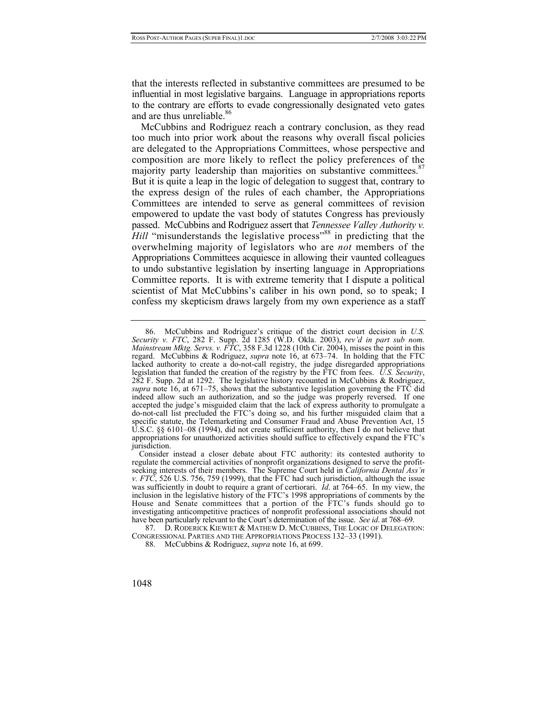that the interests reflected in substantive committees are presumed to be influential in most legislative bargains. Language in appropriations reports to the contrary are efforts to evade congressionally designated veto gates and are thus unreliable.<sup>[86](#page-21-0)</sup>

McCubbins and Rodriguez reach a contrary conclusion, as they read too much into prior work about the reasons why overall fiscal policies are delegated to the Appropriations Committees, whose perspective and composition are more likely to reflect the policy preferences of the majority party leadership than majorities on substantive committees.<sup>87</sup> But it is quite a leap in the logic of delegation to suggest that, contrary to the express design of the rules of each chamber, the Appropriations Committees are intended to serve as general committees of revision empowered to update the vast body of statutes Congress has previously passed. McCubbins and Rodriguez assert that *Tennessee Valley Authority v. Hill* "misunderstands the legislative process"<sup>88</sup> in predicting that the overwhelming majority of legislators who are *not* members of the Appropriations Committees acquiesce in allowing their vaunted colleagues to undo substantive legislation by inserting language in Appropriations Committee reports. It is with extreme temerity that I dispute a political scientist of Mat McCubbins's caliber in his own pond, so to speak; I confess my skepticism draws largely from my own experience as a staff

<span id="page-21-0"></span> <sup>86.</sup> McCubbins and Rodriguez's critique of the district court decision in *U.S. Security v. FTC*, 282 F. Supp. 2d 1285 (W.D. Okla. 2003), *rev'd in part sub nom. Mainstream Mktg. Servs. v. FTC*, 358 F.3d 1228 (10th Cir. 2004), misses the point in this regard. McCubbins & Rodriguez, *supra* note 16, at 673–74. In holding that the FTC lacked authority to create a do-not-call registry, the judge disregarded appropriations legislation that funded the creation of the registry by the FTC from fees. *U.S. Security*, 282 F. Supp. 2d at 1292. The legislative history recounted in McCubbins & Rodriguez, *supra* note 16, at 671–75, shows that the substantive legislation governing the FTC did indeed allow such an authorization, and so the judge was properly reversed. If one accepted the judge's misguided claim that the lack of express authority to promulgate a do-not-call list precluded the FTC's doing so, and his further misguided claim that a specific statute, the Telemarketing and Consumer Fraud and Abuse Prevention Act, 15 U.S.C. §§ 6101–08 (1994), did not create sufficient authority, then I do not believe that appropriations for unauthorized activities should suffice to effectively expand the FTC's jurisdiction.

Consider instead a closer debate about FTC authority: its contested authority to regulate the commercial activities of nonprofit organizations designed to serve the profitseeking interests of their members. The Supreme Court held in *California Dental Ass'n v. FTC*, 526 U.S. 756, 759 (1999), that the FTC had such jurisdiction, although the issue was sufficiently in doubt to require a grant of certiorari. *Id*. at 764–65. In my view, the inclusion in the legislative history of the FTC's 1998 appropriations of comments by the House and Senate committees that a portion of the FTC's funds should go to investigating anticompetitive practices of nonprofit professional associations should not have been particularly relevant to the Court's determination of the issue. *See id*. at 768–69.

<span id="page-21-1"></span> <sup>87.</sup> D. RODERICK KIEWIET & MATHEW D. MCCUBBINS, THE LOGIC OF DELEGATION: CONGRESSIONAL PARTIES AND THE APPROPRIATIONS PROCESS 132–33 (1991).

<span id="page-21-2"></span> <sup>88.</sup> McCubbins & Rodriguez, *supra* note 16, at 699.

<sup>1048</sup>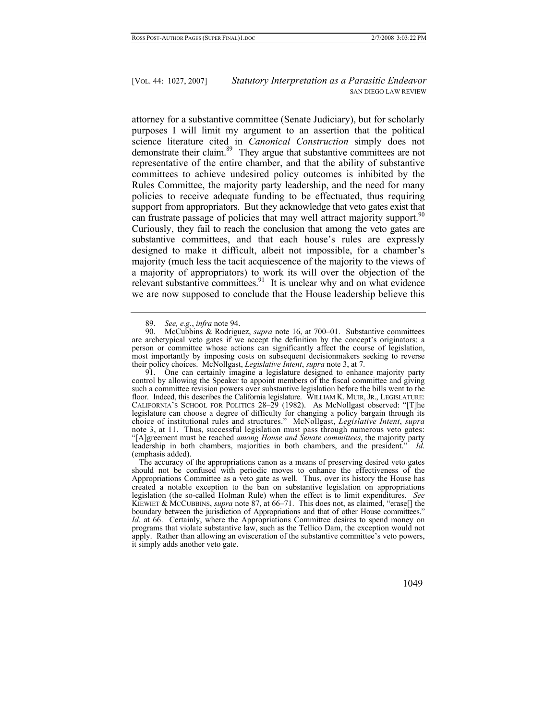attorney for a substantive committee (Senate Judiciary), but for scholarly purposes I will limit my argument to an assertion that the political science literature cited in *Canonical Construction* simply does not demonstrate their claim.<sup>89</sup> They argue that substantive committees are not representative of the entire chamber, and that the ability of substantive committees to achieve undesired policy outcomes is inhibited by the Rules Committee, the majority party leadership, and the need for many policies to receive adequate funding to be effectuated, thus requiring support from appropriators. But they acknowledge that veto gates exist that can frustrate passage of policies that may well attract majority support.<sup>90</sup> Curiously, they fail to reach the conclusion that among the veto gates are substantive committees, and that each house's rules are expressly designed to make it difficult, albeit not impossible, for a chamber's majority (much less the tacit acquiescence of the majority to the views of a majority of appropriators) to work its will over the objection of the relevant substantive committees.<sup>91</sup> It is unclear why and on what evidence we are now supposed to conclude that the House leadership believe this

<span id="page-22-2"></span> 91. One can certainly imagine a legislature designed to enhance majority party control by allowing the Speaker to appoint members of the fiscal committee and giving such a committee revision powers over substantive legislation before the bills went to the floor. Indeed, this describes the California legislature. WILLIAM K. MUIR, JR., LEGISLATURE: CALIFORNIA'S SCHOOL FOR POLITICS 28–29 (1982). As McNollgast observed: "[T]he legislature can choose a degree of difficulty for changing a policy bargain through its choice of institutional rules and structures." McNollgast, *Legislative Intent*, *supra*  note 3, at 11. Thus, successful legislation must pass through numerous veto gates: "[A]greement must be reached *among House and Senate committees*, the majority party leadership in both chambers, majorities in both chambers, and the president." *Id*. (emphasis added).

The accuracy of the appropriations canon as a means of preserving desired veto gates should not be confused with periodic moves to enhance the effectiveness of the Appropriations Committee as a veto gate as well. Thus, over its history the House has created a notable exception to the ban on substantive legislation on appropriations legislation (the so-called Holman Rule) when the effect is to limit expenditures. *See* KIEWIET & MCCUBBINS, *supra* note 87, at 66–71. This does not, as claimed, "erase[] the boundary between the jurisdiction of Appropriations and that of other House committees." *Id.* at 66. Certainly, where the Appropriations Committee desires to spend money on programs that violate substantive law, such as the Tellico Dam, the exception would not apply. Rather than allowing an evisceration of the substantive committee's veto powers, it simply adds another veto gate.

<span id="page-22-1"></span><span id="page-22-0"></span><sup>89.</sup> *See, e.g.*, *infra* note 94.

McCubbins & Rodriguez, *supra* note 16, at 700–01. Substantive committees are archetypical veto gates if we accept the definition by the concept's originators: a person or committee whose actions can significantly affect the course of legislation, most importantly by imposing costs on subsequent decisionmakers seeking to reverse their policy choices. McNollgast, *Legislative Intent*, *supra* note 3, at 7.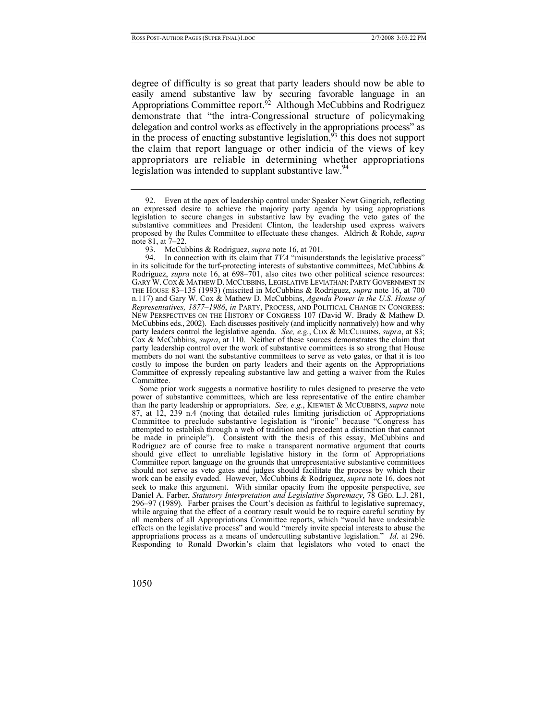degree of difficulty is so great that party leaders should now be able to easily amend substantive law by securing favorable language in an Appropriations Committee report.<sup>92</sup> Although McCubbins and Rodriguez demonstrate that "the intra-Congressional structure of policymaking delegation and control works as effectively in the appropriations process" as in the process of enacting substantive legislation, $93$  this does not support the claim that report language or other indicia of the views of key appropriators are reliable in determining whether appropriations legislation was intended to supplant substantive law.<sup>[94](#page-23-2)</sup>

 94. In connection with its claim that *TVA* "misunderstands the legislative process" in its solicitude for the turf-protecting interests of substantive committees, McCubbins  $\&$ Rodriguez, *supra* note 16, at 698–701, also cites two other political science resources: GARY W.COX & MATHEW D. MCCUBBINS, LEGISLATIVE LEVIATHAN: PARTY GOVERNMENT IN THE HOUSE 83–135 (1993) (miscited in McCubbins & Rodriguez, *supra* note 16, at 700 n.117) and Gary W. Cox & Mathew D. McCubbins, *Agenda Power in the U.S. House of Representatives, 1877–1986*, *in* PARTY, PROCESS, AND POLITICAL CHANGE IN CONGRESS: NEW PERSPECTIVES ON THE HISTORY OF CONGRESS 107 (David W. Brady & Mathew D. McCubbins eds., 2002). Each discusses positively (and implicitly normatively) how and why party leaders control the legislative agenda. *See, e.g.*, COX & MCCUBBINS, *supra*, at 83; Cox & McCubbins, *supra*, at 110. Neither of these sources demonstrates the claim that party leadership control over the work of substantive committees is so strong that House members do not want the substantive committees to serve as veto gates, or that it is too costly to impose the burden on party leaders and their agents on the Appropriations Committee of expressly repealing substantive law and getting a waiver from the Rules Committee.

Some prior work suggests a normative hostility to rules designed to preserve the veto power of substantive committees, which are less representative of the entire chamber than the party leadership or appropriators. *See, e.g.*, KIEWIET & MCCUBBINS, *supra* note 87, at 12, 239 n.4 (noting that detailed rules limiting jurisdiction of Appropriations Committee to preclude substantive legislation is "ironic" because "Congress has attempted to establish through a web of tradition and precedent a distinction that cannot be made in principle"). Consistent with the thesis of this essay, McCubbins and Rodriguez are of course free to make a transparent normative argument that courts should give effect to unreliable legislative history in the form of Appropriations Committee report language on the grounds that unrepresentative substantive committees should not serve as veto gates and judges should facilitate the process by which their work can be easily evaded. However, McCubbins & Rodriguez, *supra* note 16, does not seek to make this argument. With similar opacity from the opposite perspective, see Daniel A. Farber, *Statutory Interpretation and Legislative Supremacy*, 78 GEO. L.J. 281, 296–97 (1989). Farber praises the Court's decision as faithful to legislative supremacy, while arguing that the effect of a contrary result would be to require careful scrutiny by all members of all Appropriations Committee reports, which "would have undesirable effects on the legislative process" and would "merely invite special interests to abuse the appropriations process as a means of undercutting substantive legislation." *Id*. at 296. Responding to Ronald Dworkin's claim that legislators who voted to enact the

<span id="page-23-0"></span> <sup>92.</sup> Even at the apex of leadership control under Speaker Newt Gingrich, reflecting an expressed desire to achieve the majority party agenda by using appropriations legislation to secure changes in substantive law by evading the veto gates of the substantive committees and President Clinton, the leadership used express waivers proposed by the Rules Committee to effectuate these changes. Aldrich & Rohde, *supra* note 81, at 7–22.

<span id="page-23-2"></span><span id="page-23-1"></span> <sup>93.</sup> McCubbins & Rodriguez, *supra* note 16, at 701.